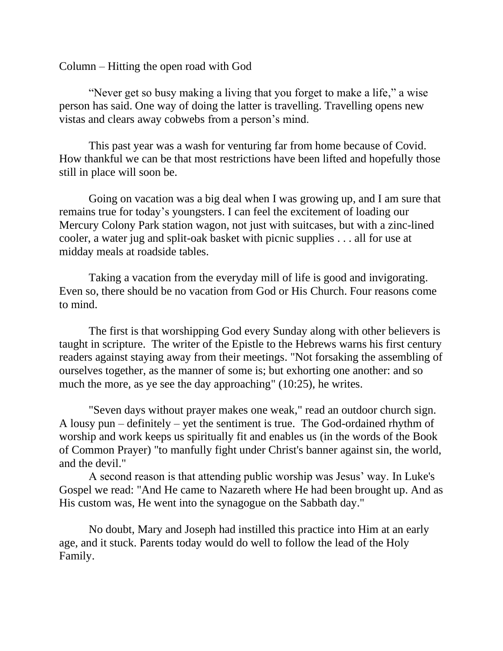Column – Hitting the open road with God

"Never get so busy making a living that you forget to make a life," a wise person has said. One way of doing the latter is travelling. Travelling opens new vistas and clears away cobwebs from a person's mind.

This past year was a wash for venturing far from home because of Covid. How thankful we can be that most restrictions have been lifted and hopefully those still in place will soon be.

Going on vacation was a big deal when I was growing up, and I am sure that remains true for today's youngsters. I can feel the excitement of loading our Mercury Colony Park station wagon, not just with suitcases, but with a zinc-lined cooler, a water jug and split-oak basket with picnic supplies . . . all for use at midday meals at roadside tables.

Taking a vacation from the everyday mill of life is good and invigorating. Even so, there should be no vacation from God or His Church. Four reasons come to mind.

The first is that worshipping God every Sunday along with other believers is taught in scripture. The writer of the Epistle to the Hebrews warns his first century readers against staying away from their meetings. "Not forsaking the assembling of ourselves together, as the manner of some is; but exhorting one another: and so much the more, as ye see the day approaching" (10:25), he writes.

"Seven days without prayer makes one weak," read an outdoor church sign. A lousy pun – definitely – yet the sentiment is true. The God-ordained rhythm of worship and work keeps us spiritually fit and enables us (in the words of the Book of Common Prayer) "to manfully fight under Christ's banner against sin, the world, and the devil."

A second reason is that attending public worship was Jesus' way. In Luke's Gospel we read: "And He came to Nazareth where He had been brought up. And as His custom was, He went into the synagogue on the Sabbath day."

No doubt, Mary and Joseph had instilled this practice into Him at an early age, and it stuck. Parents today would do well to follow the lead of the Holy Family.